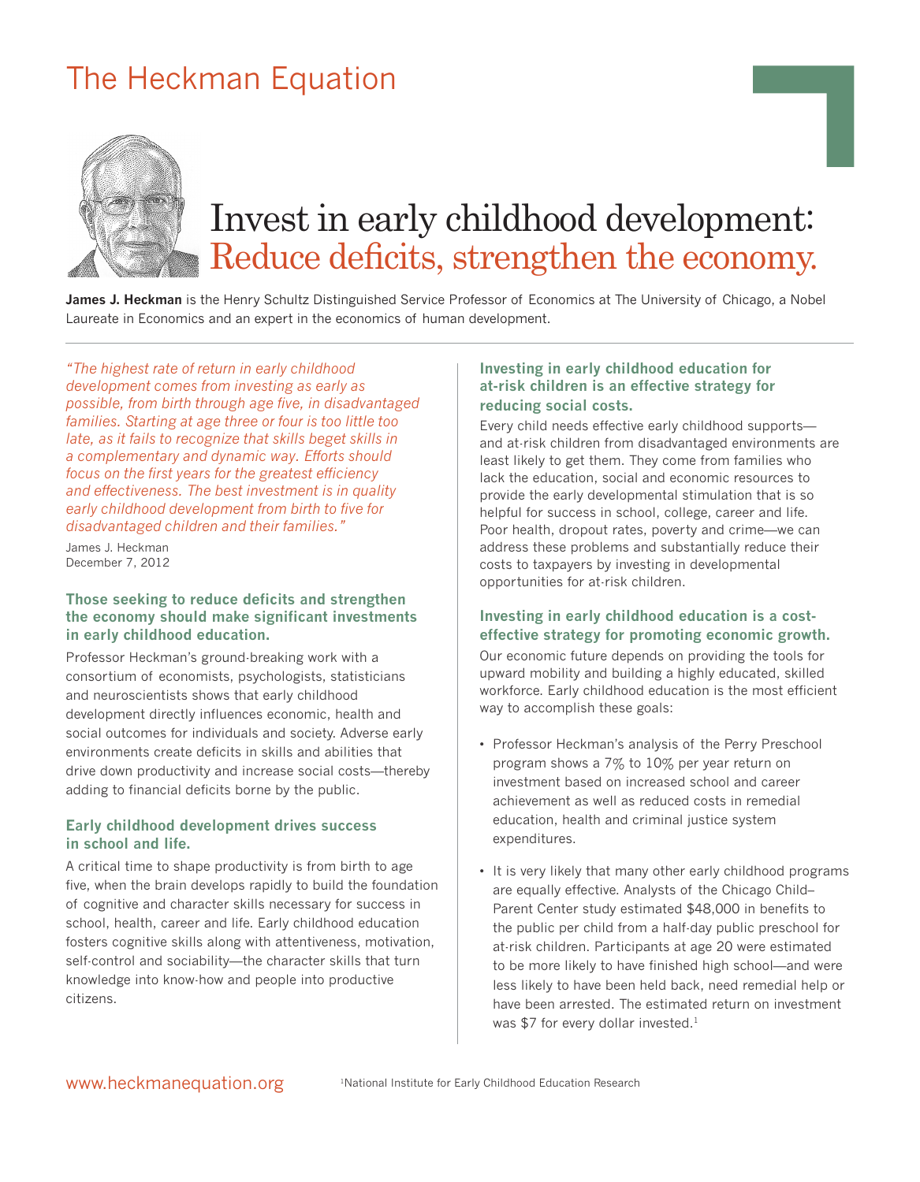### The Heckman Equation



# Invest in early childhood development: Reduce deficits, strengthen the economy.

**James J. Heckman** is the Henry Schultz Distinguished Service Professor of Economics at The University of Chicago, a Nobel Laureate in Economics and an expert in the economics of human development.

*"The highest rate of return in early childhood development comes from investing as early as possible, from birth through age five, in disadvantaged families. Starting at age three or four is too little too late, as it fails to recognize that skills beget skills in a complementary and dynamic way. Efforts should focus on the first years for the greatest efficiency and effectiveness. The best investment is in quality early childhood development from birth to five for disadvantaged children and their families."*

James J. Heckman December 7, 2012

#### **Those seeking to reduce deficits and strengthen the economy should make significant investments in early childhood education.**

Professor Heckman's ground-breaking work with a consortium of economists, psychologists, statisticians and neuroscientists shows that early childhood development directly influences economic, health and social outcomes for individuals and society. Adverse early environments create deficits in skills and abilities that drive down productivity and increase social costs—thereby adding to financial deficits borne by the public.

#### **Early childhood development drives success in school and life.**

A critical time to shape productivity is from birth to age five, when the brain develops rapidly to build the foundation of cognitive and character skills necessary for success in school, health, career and life. Early childhood education fosters cognitive skills along with attentiveness, motivation, self-control and sociability—the character skills that turn knowledge into know-how and people into productive citizens.

### **Investing in early childhood education for at-risk children is an effective strategy for reducing social costs.**

Every child needs effective early childhood supports and at-risk children from disadvantaged environments are least likely to get them. They come from families who lack the education, social and economic resources to provide the early developmental stimulation that is so helpful for success in school, college, career and life. Poor health, dropout rates, poverty and crime—we can address these problems and substantially reduce their costs to taxpayers by investing in developmental opportunities for at-risk children.

### **Investing in early childhood education is a costeffective strategy for promoting economic growth.**

Our economic future depends on providing the tools for upward mobility and building a highly educated, skilled workforce. Early childhood education is the most efficient way to accomplish these goals:

- Professor Heckman's analysis of the Perry Preschool program shows a 7% to 10% per year return on investment based on increased school and career achievement as well as reduced costs in remedial education, health and criminal justice system expenditures.
- It is very likely that many other early childhood programs are equally effective. Analysts of the Chicago Child– Parent Center study estimated \$48,000 in benefits to the public per child from a half-day public preschool for at-risk children. Participants at age 20 were estimated to be more likely to have finished high school—and were less likely to have been held back, need remedial help or have been arrested. The estimated return on investment was \$7 for every dollar invested.<sup>1</sup>